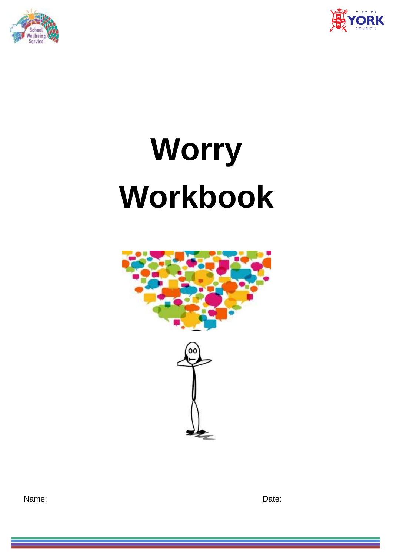



# **Worry Workbook**



Name: **Name:** Date: **Date:** 2008. **Date:** 2008. **Date:** 2008. **Date:** 2008. **Date:** 2008. 2014. 2015. 2016. 2016. 2016. 2017. 2016. 2017. 2018. 2017. 2018. 2017. 2018. 2017. 2018. 2017. 2018. 2017. 2018. 2017. 2018. 2017.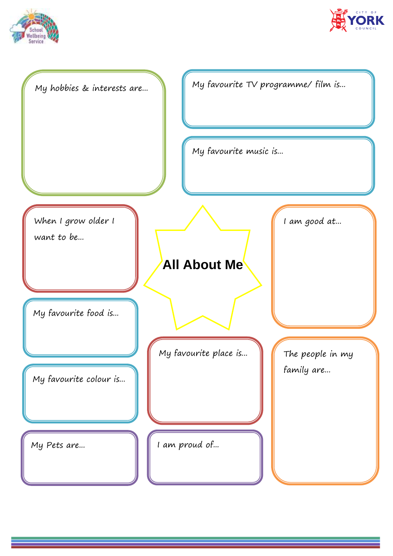



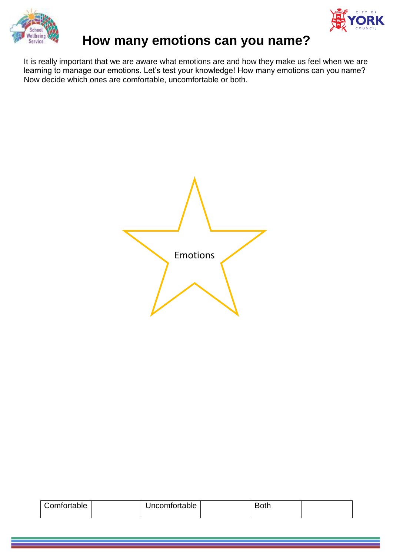



## **How many emotions can you name?**

It is really important that we are aware what emotions are and how they make us feel when we are learning to manage our emotions. Let's test your knowledge! How many emotions can you name? Now decide which ones are comfortable, uncomfortable or both.

Emotions

| Comfortable | Uncomfortable | ∽<br>Both |  |
|-------------|---------------|-----------|--|
|             |               |           |  |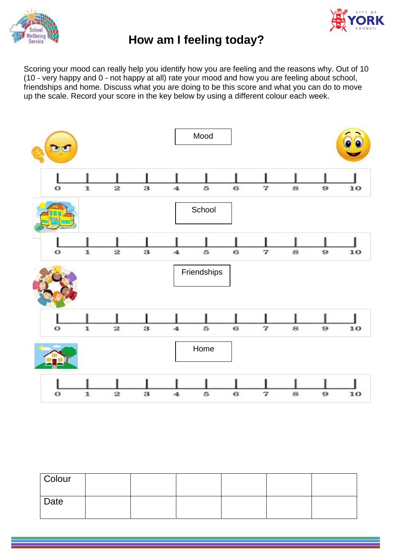



#### **How am I feeling today?**

Scoring your mood can really help you identify how you are feeling and the reasons why. Out of 10 (10 - very happy and 0 - not happy at all) rate your mood and how you are feeling about school, friendships and home. Discuss what you are doing to be this score and what you can do to move up the scale. Record your score in the key below by using a different colour each week.



| Colour |  |  |  |
|--------|--|--|--|
| Date   |  |  |  |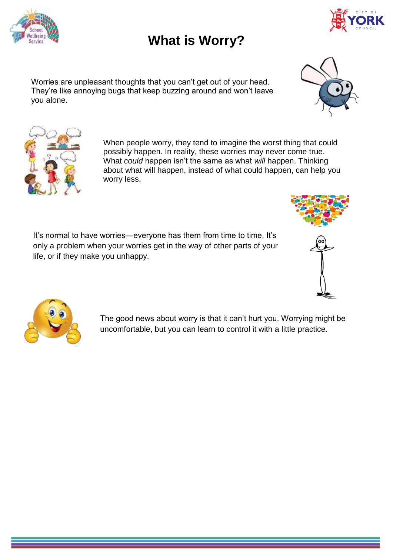

**What is Worry?**

Worries are unpleasant thoughts that you can't get out of your head. They're like annoying bugs that keep buzzing around and won't leave you alone.

> When people worry, they tend to imagine the worst thing that could possibly happen. In reality, these worries may never come true. What *could* happen isn't the same as what *will* happen. Thinking about what will happen, instead of what could happen, can help you worry less.

It's normal to have worries—everyone has them from time to time. It's only a problem when your worries get in the way of other parts of your life, or if they make you unhappy.

> The good news about worry is that it can't hurt you. Worrying might be uncomfortable, but you can learn to control it with a little practice.













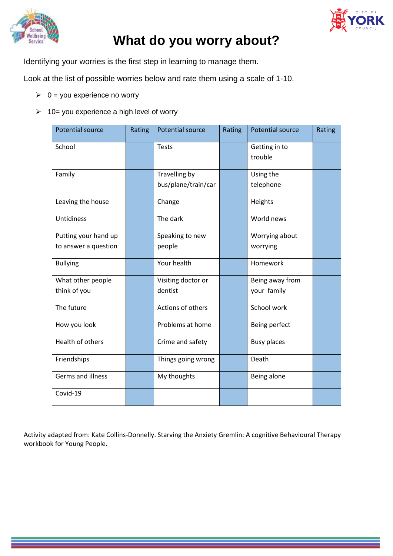



## **What do you worry about?**

Identifying your worries is the first step in learning to manage them.

Look at the list of possible worries below and rate them using a scale of 1-10.

- $\geq 0$  = you experience no worry
- $\geq 10$  = you experience a high level of worry

| <b>Potential source</b>                      | Rating | <b>Potential source</b>              | Rating | <b>Potential source</b>        | Rating |
|----------------------------------------------|--------|--------------------------------------|--------|--------------------------------|--------|
| School                                       |        | <b>Tests</b>                         |        | Getting in to<br>trouble       |        |
| Family                                       |        | Travelling by<br>bus/plane/train/car |        | Using the<br>telephone         |        |
| Leaving the house                            |        | Change                               |        | Heights                        |        |
| Untidiness                                   |        | The dark                             |        | World news                     |        |
| Putting your hand up<br>to answer a question |        | Speaking to new<br>people            |        | Worrying about<br>worrying     |        |
| <b>Bullying</b>                              |        | Your health                          |        | Homework                       |        |
| What other people<br>think of you            |        | Visiting doctor or<br>dentist        |        | Being away from<br>your family |        |
| The future                                   |        | Actions of others                    |        | School work                    |        |
| How you look                                 |        | Problems at home                     |        | Being perfect                  |        |
| Health of others                             |        | Crime and safety                     |        | <b>Busy places</b>             |        |
| Friendships                                  |        | Things going wrong                   |        | Death                          |        |
| <b>Germs and illness</b>                     |        | My thoughts                          |        | Being alone                    |        |
| Covid-19                                     |        |                                      |        |                                |        |

Activity adapted from: Kate Collins-Donnelly. Starving the Anxiety Gremlin: A cognitive Behavioural Therapy workbook for Young People.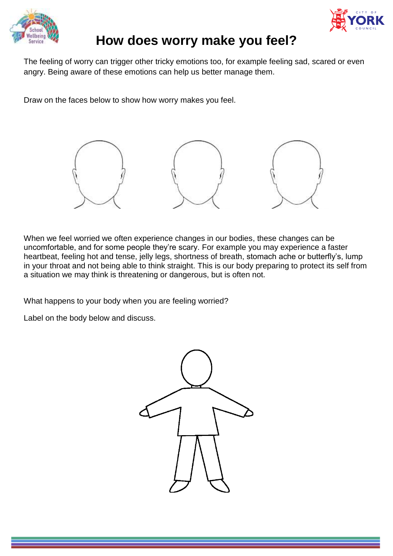



#### **How does worry make you feel?**

The feeling of worry can trigger other tricky emotions too, for example feeling sad, scared or even angry. Being aware of these emotions can help us better manage them.

Draw on the faces below to show how worry makes you feel.



When we feel worried we often experience changes in our bodies, these changes can be uncomfortable, and for some people they're scary. For example you may experience a faster heartbeat, feeling hot and tense, jelly legs, shortness of breath, stomach ache or butterfly's, lump in your throat and not being able to think straight. This is our body preparing to protect its self from a situation we may think is threatening or dangerous, but is often not.

What happens to your body when you are feeling worried?

Label on the body below and discuss.

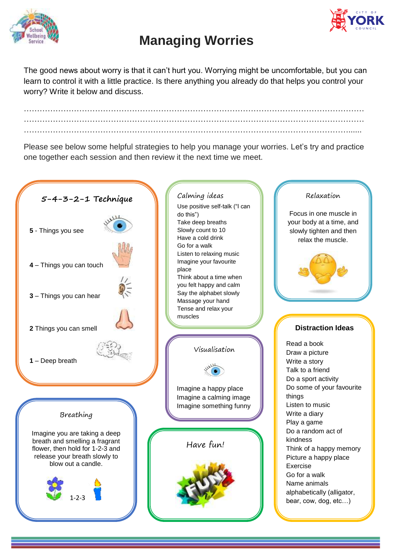



# **Managing Worries**

The good news about worry is that it can't hurt you. Worrying might be uncomfortable, but you can learn to control it with a little practice. Is there anything you already do that helps you control your worry? Write it below and discuss.

………………………………………………………………………………………………………………… …………………………………………………………………………………………………………………  $\mathcal{L}^{\text{max}}_{\text{max}}$ 

Please see below some helpful strategies to help you manage your worries. Let's try and practice one together each session and then review it the next time we meet.

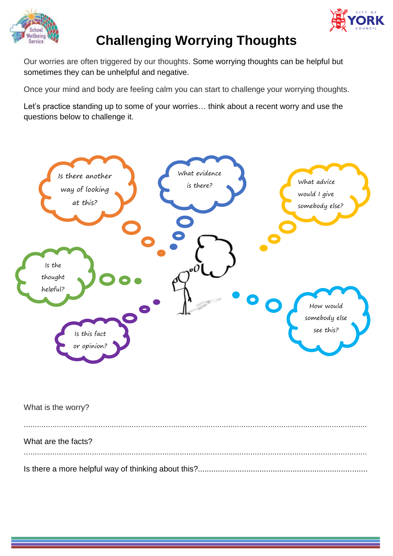



# **Challenging Worrying Thoughts**

Our worries are often triggered by our thoughts. Some worrying thoughts can be helpful but sometimes they can be unhelpful and negative.

Once your mind and body are feeling calm you can start to challenge your worrying thoughts.

Let's practice standing up to some of your worries… think about a recent worry and use the questions below to challenge it.



| What is the worry?  |
|---------------------|
| What are the facts? |
|                     |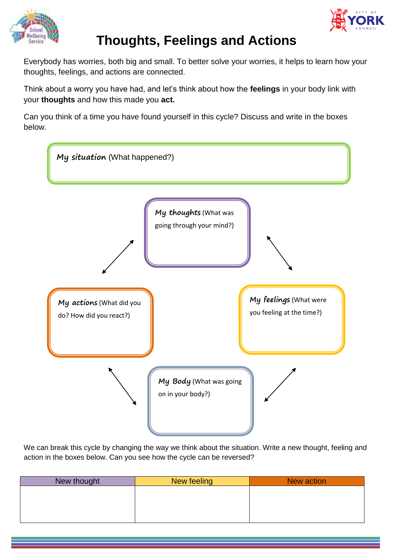



# **Thoughts, Feelings and Actions**

Everybody has worries, both big and small. To better solve your worries, it helps to learn how your thoughts, feelings, and actions are connected.

Think about a worry you have had, and let's think about how the **feelings** in your body link with your **thoughts** and how this made you **act.**

Can you think of a time you have found yourself in this cycle? Discuss and write in the boxes below.



We can break this cycle by changing the way we think about the situation. Write a new thought, feeling and action in the boxes below. Can you see how the cycle can be reversed?

| New thought | New feeling | New action |
|-------------|-------------|------------|
|             |             |            |
|             |             |            |
|             |             |            |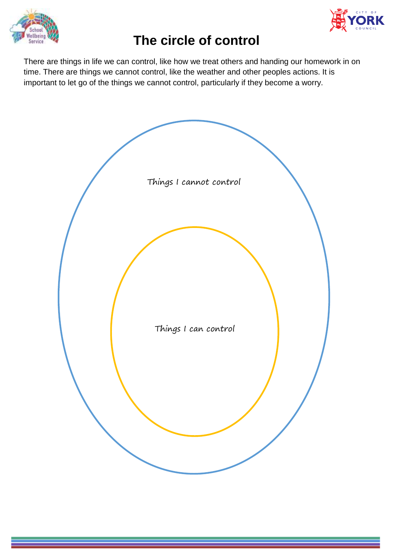



# **The circle of control**

There are things in life we can control, like how we treat others and handing our homework in on time. There are things we cannot control, like the weather and other peoples actions. It is important to let go of the things we cannot control, particularly if they become a worry.

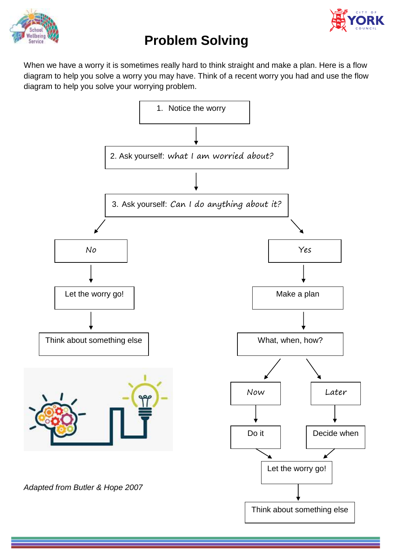



# **Problem Solving**

When we have a worry it is sometimes really hard to think straight and make a plan. Here is a flow diagram to help you solve a worry you may have. Think of a recent worry you had and use the flow diagram to help you solve your worrying problem.